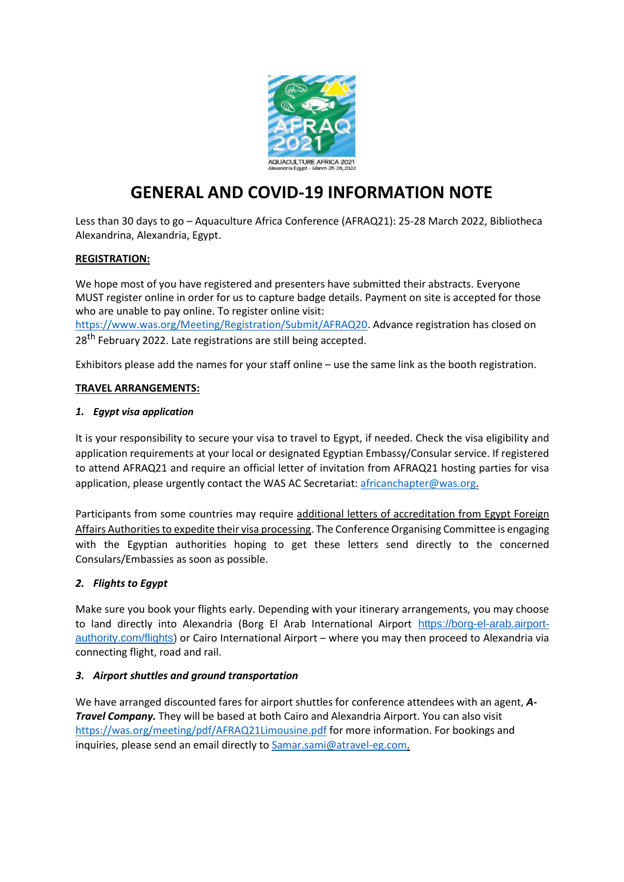

# **GENERAL AND COVID-19 INFORMATION NOTE**

Less than 30 days to go – Aquaculture Africa Conference (AFRAQ21): 25-28 March 2022, Bibliotheca Alexandrina, Alexandria, Egypt.

## **REGISTRATION:**

We hope most of you have registered and presenters have submitted their abstracts. Everyone MUST register online in order for us to capture badge details. Payment on site is accepted for those who are unable to pay online. To register online visit:

[https://www.was.org/Meeting/Registration/Submit/AFRAQ20. A](https://www.was.org/Meeting/Registration/Submit/AFRAQ20)dvance registration has closed on 28<sup>th</sup> February 2022. Late registrations are still being accepted.

Exhibitors please add the names for your staff online – use the same link as the booth registration.

#### **TRAVEL ARRANGEMENTS:**

#### *1. Egypt visa application*

It is your responsibility to secure your visa to travel to Egypt, if needed. Check the visa eligibility and application requirements at your local or designated Egyptian Embassy/Consular service. If registered to attend AFRAQ21 and require an official letter of invitation from AFRAQ21 hosting parties for visa application, please urgently contact the WAS AC Secretariat: [africanchapter@was.org.](mailto:africanchapter@was.org)

Participants from some countries may require additional letters of accreditation from Egypt Foreign Affairs Authorities to expedite their visa processing. The Conference Organising Committee is engaging with the Egyptian authorities hoping to get these letters send directly to the concerned Consulars/Embassies as soon as possible.

## *2. Flights to Egypt*

Make sure you book your flights early. Depending with your itinerary arrangements, you may choose to land directly into Alexandria (Borg El Arab International Airport [https://borg-el-arab.airport](https://borg-el-arab.airport-authority.com/flights)[authority.com/flights\)](https://borg-el-arab.airport-authority.com/flights) or Cairo International Airport – where you may then proceed to Alexandria via connecting flight, road and rail.

## *3. Airport shuttles and ground transportation*

We have arranged discounted fares for airport shuttles for conference attendees with an agent, *A-Travel Company.* They will be based at both Cairo and Alexandria Airport. You can also visit <https://was.org/meeting/pdf/AFRAQ21Limousine.pdf> for more information. For bookings and inquiries, please send an email directly to [Samar.sami@atravel-eg.com.](mailto:Samar.sami@atravel-eg.com)